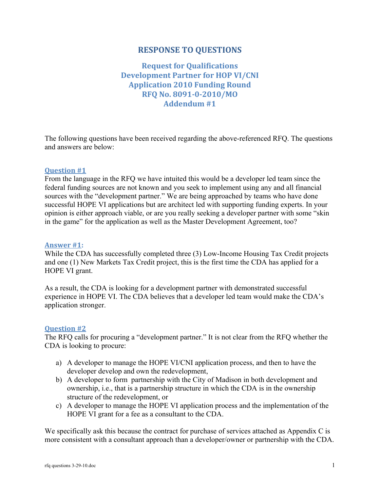# **RESPONSE TO QUESTIONS**

**Request for Qualifications Development Partner for HOP VI/CNI Application 2010 Funding Round RFQ No. 809102010/MO Addendum #1**

The following questions have been received regarding the above-referenced RFQ. The questions and answers are below:

### **Question #1**

From the language in the RFQ we have intuited this would be a developer led team since the federal funding sources are not known and you seek to implement using any and all financial sources with the "development partner." We are being approached by teams who have done successful HOPE VI applications but are architect led with supporting funding experts. In your opinion is either approach viable, or are you really seeking a developer partner with some "skin in the game" for the application as well as the Master Development Agreement, too?

### **Answer #1:**

While the CDA has successfully completed three (3) Low-Income Housing Tax Credit projects and one (1) New Markets Tax Credit project, this is the first time the CDA has applied for a HOPE VI grant.

As a result, the CDA is looking for a development partner with demonstrated successful experience in HOPE VI. The CDA believes that a developer led team would make the CDA's application stronger.

#### **Question #2**

The RFQ calls for procuring a "development partner." It is not clear from the RFQ whether the CDA is looking to procure:

- a) A developer to manage the HOPE VI/CNI application process, and then to have the developer develop and own the redevelopment,
- b) A developer to form partnership with the City of Madison in both development and ownership, i.e., that is a partnership structure in which the CDA is in the ownership structure of the redevelopment, or
- c) A developer to manage the HOPE VI application process and the implementation of the HOPE VI grant for a fee as a consultant to the CDA.

We specifically ask this because the contract for purchase of services attached as Appendix C is more consistent with a consultant approach than a developer/owner or partnership with the CDA.